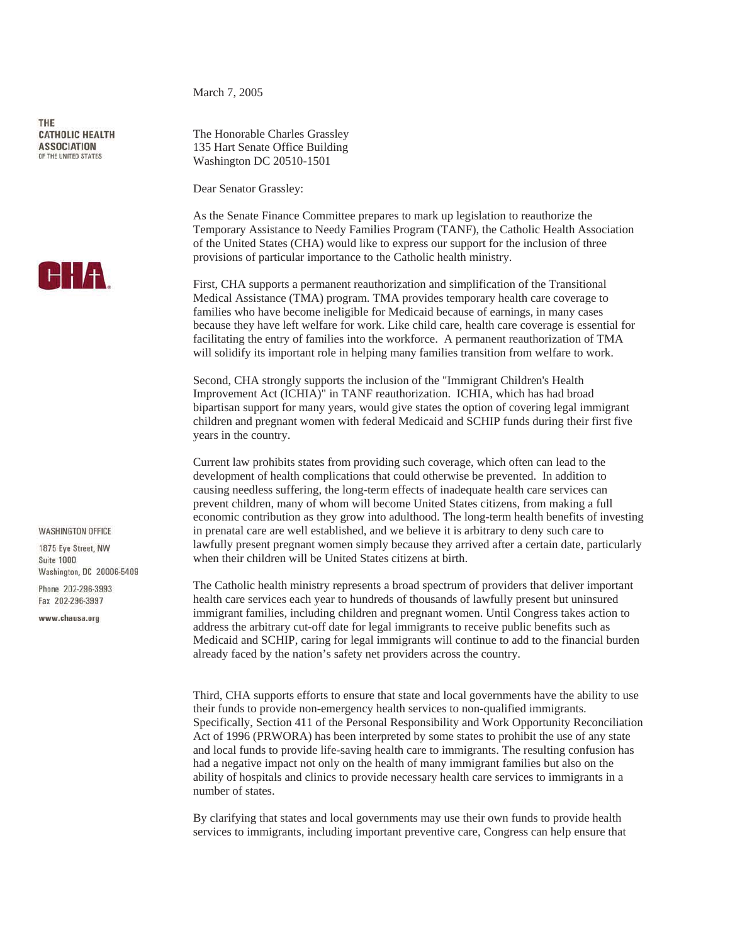THE **CATHOLIC HEALTH ASSOCIATION** OF THE UNITED STATES



## **WASHINGTON OFFICE**

1875 Eve Street NW Suite 1000 Washington, DC 20006-5409

Phone 202-296-3993 Fax 202-296-3997

www.chausa.org

March 7, 2005

The Honorable Charles Grassley 135 Hart Senate Office Building Washington DC 20510-1501

Dear Senator Grassley:

As the Senate Finance Committee prepares to mark up legislation to reauthorize the Temporary Assistance to Needy Families Program (TANF), the Catholic Health Association of the United States (CHA) would like to express our support for the inclusion of three provisions of particular importance to the Catholic health ministry.

First, CHA supports a permanent reauthorization and simplification of the Transitional Medical Assistance (TMA) program. TMA provides temporary health care coverage to families who have become ineligible for Medicaid because of earnings, in many cases because they have left welfare for work. Like child care, health care coverage is essential for facilitating the entry of families into the workforce. A permanent reauthorization of TMA will solidify its important role in helping many families transition from welfare to work.

Second, CHA strongly supports the inclusion of the "Immigrant Children's Health Improvement Act (ICHIA)" in TANF reauthorization. ICHIA, which has had broad bipartisan support for many years, would give states the option of covering legal immigrant children and pregnant women with federal Medicaid and SCHIP funds during their first five years in the country.

Current law prohibits states from providing such coverage, which often can lead to the development of health complications that could otherwise be prevented. In addition to causing needless suffering, the long-term effects of inadequate health care services can prevent children, many of whom will become United States citizens, from making a full economic contribution as they grow into adulthood. The long-term health benefits of investing in prenatal care are well established, and we believe it is arbitrary to deny such care to lawfully present pregnant women simply because they arrived after a certain date, particularly when their children will be United States citizens at birth.

The Catholic health ministry represents a broad spectrum of providers that deliver important health care services each year to hundreds of thousands of lawfully present but uninsured immigrant families, including children and pregnant women. Until Congress takes action to address the arbitrary cut-off date for legal immigrants to receive public benefits such as Medicaid and SCHIP, caring for legal immigrants will continue to add to the financial burden already faced by the nation's safety net providers across the country.

Third, CHA supports efforts to ensure that state and local governments have the ability to use their funds to provide non-emergency health services to non-qualified immigrants. Specifically, Section 411 of the Personal Responsibility and Work Opportunity Reconciliation Act of 1996 (PRWORA) has been interpreted by some states to prohibit the use of any state and local funds to provide life-saving health care to immigrants. The resulting confusion has had a negative impact not only on the health of many immigrant families but also on the ability of hospitals and clinics to provide necessary health care services to immigrants in a number of states.

By clarifying that states and local governments may use their own funds to provide health services to immigrants, including important preventive care, Congress can help ensure that